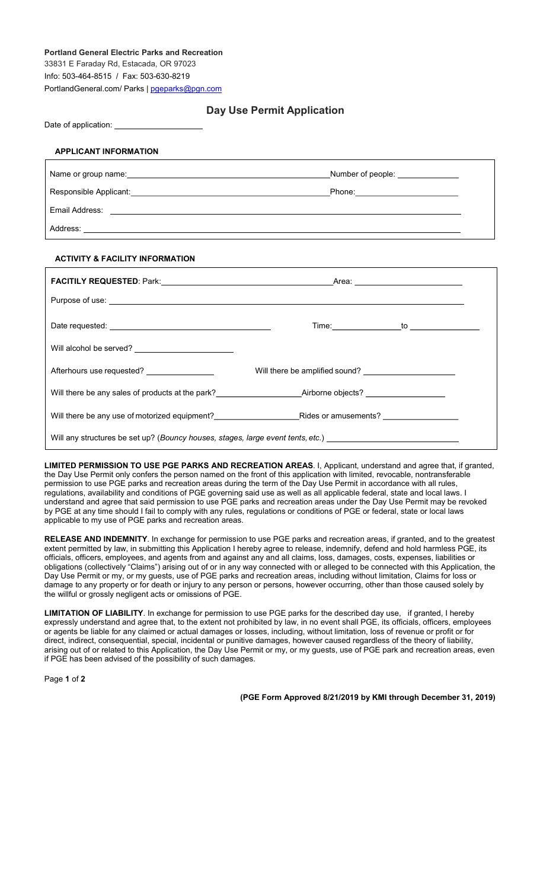## Portland General Electric Parks and Recreation 33831 E Faraday Rd, Estacada, OR 97023 Info: 503-464-8515 / Fax: 503-630-8219 PortlandGeneral.com/ Parks | pgeparks@pgn.com

## Day Use Permit Application

Date of application:

## APPLICANT INFORMATION

|                | Number of people: <u>________________</u> |  |
|----------------|-------------------------------------------|--|
|                | Phone: ________________________           |  |
| Email Address: |                                           |  |
| Address:       |                                           |  |

## ACTIVITY & FACILITY INFORMATION

| Will alcohol be served?                                                                                        |                                                                                                                      |  |
|----------------------------------------------------------------------------------------------------------------|----------------------------------------------------------------------------------------------------------------------|--|
|                                                                                                                |                                                                                                                      |  |
|                                                                                                                |                                                                                                                      |  |
|                                                                                                                | Will there be any use of motorized equipment?___________________________________Rides or amusements? _______________ |  |
| Will any structures be set up? (Bouncy houses, stages, large event tents, etc.) ______________________________ |                                                                                                                      |  |

LIMITED PERMISSION TO USE PGE PARKS AND RECREATION AREAS. I, Applicant, understand and agree that, if granted, the Day Use Permit only confers the person named on the front of this application with limited, revocable, nontransferable permission to use PGE parks and recreation areas during the term of the Day Use Permit in accordance with all rules, regulations, availability and conditions of PGE governing said use as well as all applicable federal, state and local laws. I understand and agree that said permission to use PGE parks and recreation areas under the Day Use Permit may be revoked by PGE at any time should I fail to comply with any rules, regulations or conditions of PGE or federal, state or local laws applicable to my use of PGE parks and recreation areas.

RELEASE AND INDEMNITY. In exchange for permission to use PGE parks and recreation areas, if granted, and to the greatest extent permitted by law, in submitting this Application I hereby agree to release, indemnify, defend and hold harmless PGE, its officials, officers, employees, and agents from and against any and all claims, loss, damages, costs, expenses, liabilities or obligations (collectively "Claims") arising out of or in any way connected with or alleged to be connected with this Application, the Day Use Permit or my, or my guests, use of PGE parks and recreation areas, including without limitation, Claims for loss or damage to any property or for death or injury to any person or persons, however occurring, other than those caused solely by the willful or grossly negligent acts or omissions of PGE.

LIMITATION OF LIABILITY. In exchange for permission to use PGE parks for the described day use, if granted, I hereby expressly understand and agree that, to the extent not prohibited by law, in no event shall PGE, its officials, officers, employees or agents be liable for any claimed or actual damages or losses, including, without limitation, loss of revenue or profit or for direct, indirect, consequential, special, incidental or punitive damages, however caused regardless of the theory of liability, arising out of or related to this Application, the Day Use Permit or my, or my guests, use of PGE park and recreation areas, even if PGE has been advised of the possibility of such damages.

Page 1 of 2

(PGE Form Approved 8/21/2019 by KMI through December 31, 2019)